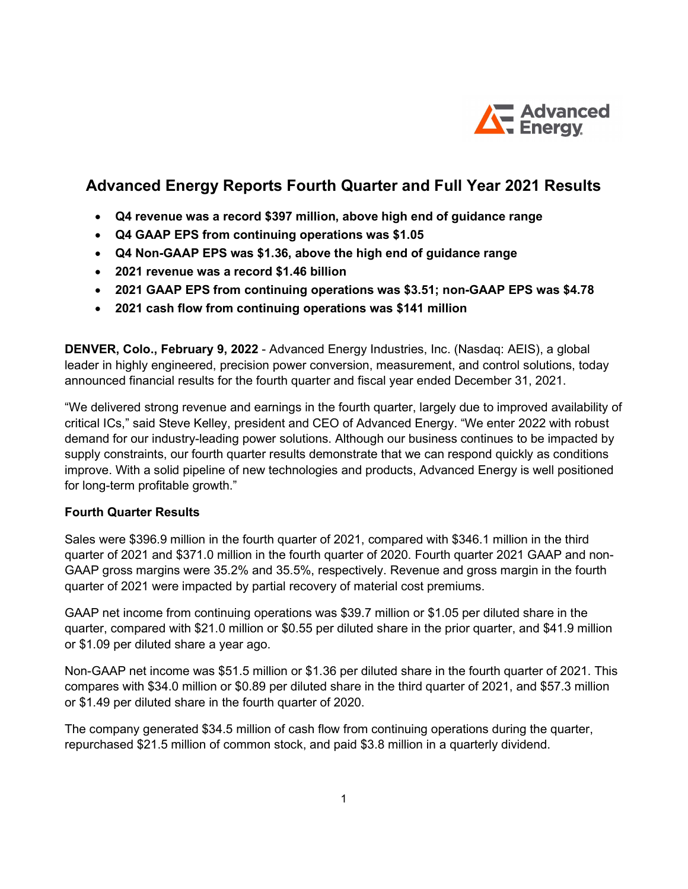

# Advanced Energy Reports Fourth Quarter and Full Year 2021 Results

- Q4 revenue was a record \$397 million, above high end of guidance range
- Q4 GAAP EPS from continuing operations was \$1.05
- Q4 Non-GAAP EPS was \$1.36, above the high end of guidance range
- 2021 revenue was a record \$1.46 billion
- 2021 GAAP EPS from continuing operations was \$3.51; non-GAAP EPS was \$4.78
- 2021 cash flow from continuing operations was \$141 million

DENVER, Colo., February 9, 2022 - Advanced Energy Industries, Inc. (Nasdaq: AEIS), a global leader in highly engineered, precision power conversion, measurement, and control solutions, today announced financial results for the fourth quarter and fiscal year ended December 31, 2021.

"We delivered strong revenue and earnings in the fourth quarter, largely due to improved availability of critical ICs," said Steve Kelley, president and CEO of Advanced Energy. "We enter 2022 with robust demand for our industry-leading power solutions. Although our business continues to be impacted by supply constraints, our fourth quarter results demonstrate that we can respond quickly as conditions improve. With a solid pipeline of new technologies and products, Advanced Energy is well positioned for long-term profitable growth."

# Fourth Quarter Results

Sales were \$396.9 million in the fourth quarter of 2021, compared with \$346.1 million in the third quarter of 2021 and \$371.0 million in the fourth quarter of 2020. Fourth quarter 2021 GAAP and non-GAAP gross margins were 35.2% and 35.5%, respectively. Revenue and gross margin in the fourth quarter of 2021 were impacted by partial recovery of material cost premiums.

GAAP net income from continuing operations was \$39.7 million or \$1.05 per diluted share in the quarter, compared with \$21.0 million or \$0.55 per diluted share in the prior quarter, and \$41.9 million or \$1.09 per diluted share a year ago.

Non-GAAP net income was \$51.5 million or \$1.36 per diluted share in the fourth quarter of 2021. This compares with \$34.0 million or \$0.89 per diluted share in the third quarter of 2021, and \$57.3 million or \$1.49 per diluted share in the fourth quarter of 2020.

The company generated \$34.5 million of cash flow from continuing operations during the quarter, repurchased \$21.5 million of common stock, and paid \$3.8 million in a quarterly dividend.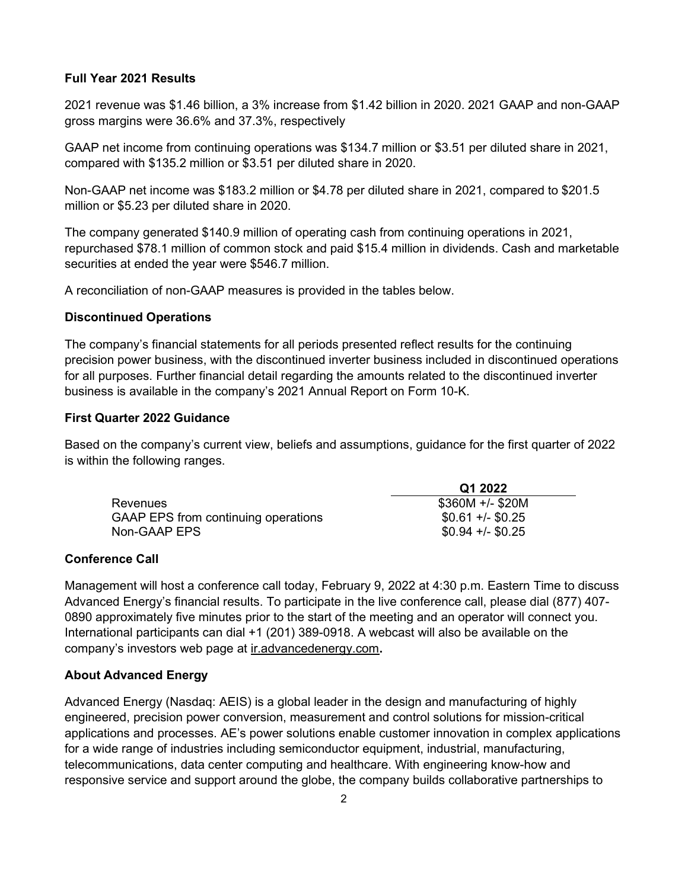### Full Year 2021 Results

2021 revenue was \$1.46 billion, a 3% increase from \$1.42 billion in 2020. 2021 GAAP and non-GAAP gross margins were 36.6% and 37.3%, respectively

GAAP net income from continuing operations was \$134.7 million or \$3.51 per diluted share in 2021, compared with \$135.2 million or \$3.51 per diluted share in 2020.

Non-GAAP net income was \$183.2 million or \$4.78 per diluted share in 2021, compared to \$201.5 million or \$5.23 per diluted share in 2020.

The company generated \$140.9 million of operating cash from continuing operations in 2021, repurchased \$78.1 million of common stock and paid \$15.4 million in dividends. Cash and marketable securities at ended the year were \$546.7 million.

A reconciliation of non-GAAP measures is provided in the tables below.

### Discontinued Operations

The company's financial statements for all periods presented reflect results for the continuing precision power business, with the discontinued inverter business included in discontinued operations for all purposes. Further financial detail regarding the amounts related to the discontinued inverter business is available in the company's 2021 Annual Report on Form 10-K.

### First Quarter 2022 Guidance

Based on the company's current view, beliefs and assumptions, guidance for the first quarter of 2022 is within the following ranges.

|                                     | Q1 2022           |
|-------------------------------------|-------------------|
| <b>Revenues</b>                     | $$360M +/- $20M$  |
| GAAP EPS from continuing operations | $$0.61 + (-0.25)$ |
| Non-GAAP EPS                        | $$0.94 +/- $0.25$ |

## Conference Call

Management will host a conference call today, February 9, 2022 at 4:30 p.m. Eastern Time to discuss Advanced Energy's financial results. To participate in the live conference call, please dial (877) 407- 0890 approximately five minutes prior to the start of the meeting and an operator will connect you. International participants can dial +1 (201) 389-0918. A webcast will also be available on the company's investors web page at ir.advancedenergy.com.

## About Advanced Energy

Advanced Energy (Nasdaq: AEIS) is a global leader in the design and manufacturing of highly engineered, precision power conversion, measurement and control solutions for mission-critical applications and processes. AE's power solutions enable customer innovation in complex applications for a wide range of industries including semiconductor equipment, industrial, manufacturing, telecommunications, data center computing and healthcare. With engineering know-how and responsive service and support around the globe, the company builds collaborative partnerships to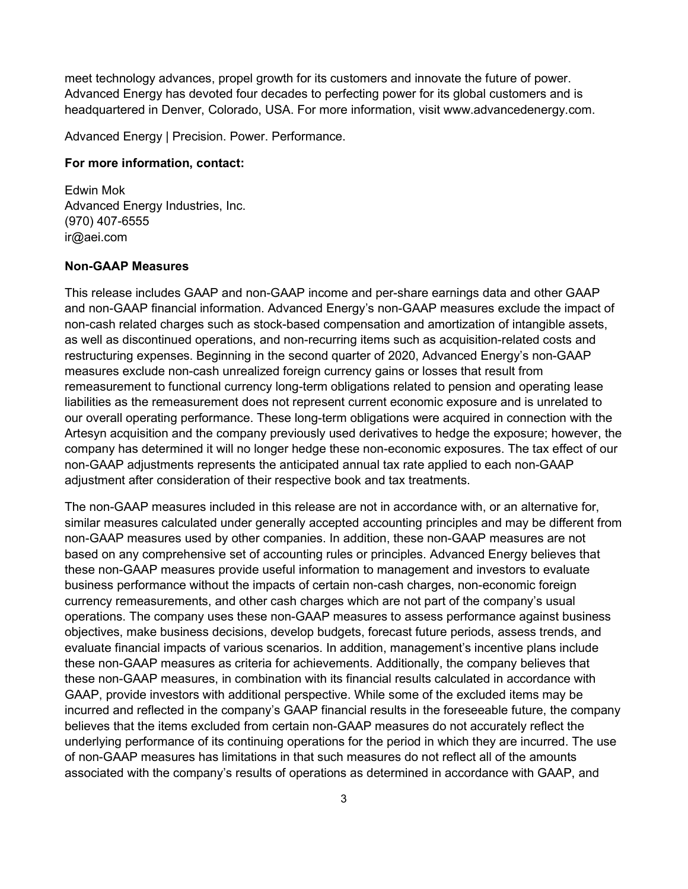meet technology advances, propel growth for its customers and innovate the future of power. Advanced Energy has devoted four decades to perfecting power for its global customers and is headquartered in Denver, Colorado, USA. For more information, visit www.advancedenergy.com.

Advanced Energy | Precision. Power. Performance.

#### For more information, contact:

Edwin Mok Advanced Energy Industries, Inc. (970) 407-6555 ir@aei.com

# Non-GAAP Measures

This release includes GAAP and non-GAAP income and per-share earnings data and other GAAP and non-GAAP financial information. Advanced Energy's non-GAAP measures exclude the impact of non-cash related charges such as stock-based compensation and amortization of intangible assets, as well as discontinued operations, and non-recurring items such as acquisition-related costs and restructuring expenses. Beginning in the second quarter of 2020, Advanced Energy's non-GAAP measures exclude non-cash unrealized foreign currency gains or losses that result from remeasurement to functional currency long-term obligations related to pension and operating lease liabilities as the remeasurement does not represent current economic exposure and is unrelated to our overall operating performance. These long-term obligations were acquired in connection with the Artesyn acquisition and the company previously used derivatives to hedge the exposure; however, the company has determined it will no longer hedge these non-economic exposures. The tax effect of our non-GAAP adjustments represents the anticipated annual tax rate applied to each non-GAAP adjustment after consideration of their respective book and tax treatments.

The non-GAAP measures included in this release are not in accordance with, or an alternative for, similar measures calculated under generally accepted accounting principles and may be different from non-GAAP measures used by other companies. In addition, these non-GAAP measures are not based on any comprehensive set of accounting rules or principles. Advanced Energy believes that these non-GAAP measures provide useful information to management and investors to evaluate business performance without the impacts of certain non-cash charges, non-economic foreign currency remeasurements, and other cash charges which are not part of the company's usual operations. The company uses these non-GAAP measures to assess performance against business objectives, make business decisions, develop budgets, forecast future periods, assess trends, and evaluate financial impacts of various scenarios. In addition, management's incentive plans include these non-GAAP measures as criteria for achievements. Additionally, the company believes that these non-GAAP measures, in combination with its financial results calculated in accordance with GAAP, provide investors with additional perspective. While some of the excluded items may be incurred and reflected in the company's GAAP financial results in the foreseeable future, the company believes that the items excluded from certain non-GAAP measures do not accurately reflect the underlying performance of its continuing operations for the period in which they are incurred. The use of non-GAAP measures has limitations in that such measures do not reflect all of the amounts associated with the company's results of operations as determined in accordance with GAAP, and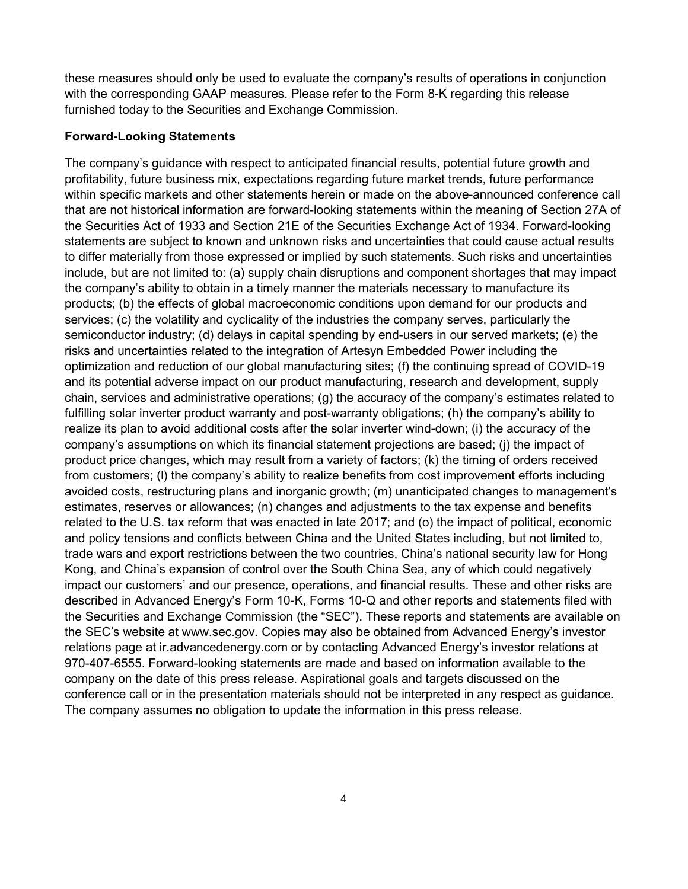these measures should only be used to evaluate the company's results of operations in conjunction with the corresponding GAAP measures. Please refer to the Form 8-K regarding this release furnished today to the Securities and Exchange Commission.

# Forward-Looking Statements

The company's guidance with respect to anticipated financial results, potential future growth and profitability, future business mix, expectations regarding future market trends, future performance within specific markets and other statements herein or made on the above-announced conference call that are not historical information are forward-looking statements within the meaning of Section 27A of the Securities Act of 1933 and Section 21E of the Securities Exchange Act of 1934. Forward-looking statements are subject to known and unknown risks and uncertainties that could cause actual results to differ materially from those expressed or implied by such statements. Such risks and uncertainties include, but are not limited to: (a) supply chain disruptions and component shortages that may impact the company's ability to obtain in a timely manner the materials necessary to manufacture its products; (b) the effects of global macroeconomic conditions upon demand for our products and services; (c) the volatility and cyclicality of the industries the company serves, particularly the semiconductor industry; (d) delays in capital spending by end-users in our served markets; (e) the risks and uncertainties related to the integration of Artesyn Embedded Power including the optimization and reduction of our global manufacturing sites; (f) the continuing spread of COVID-19 and its potential adverse impact on our product manufacturing, research and development, supply chain, services and administrative operations; (g) the accuracy of the company's estimates related to fulfilling solar inverter product warranty and post-warranty obligations; (h) the company's ability to realize its plan to avoid additional costs after the solar inverter wind-down; (i) the accuracy of the company's assumptions on which its financial statement projections are based; (j) the impact of product price changes, which may result from a variety of factors; (k) the timing of orders received from customers; (l) the company's ability to realize benefits from cost improvement efforts including avoided costs, restructuring plans and inorganic growth; (m) unanticipated changes to management's estimates, reserves or allowances; (n) changes and adjustments to the tax expense and benefits related to the U.S. tax reform that was enacted in late 2017; and (o) the impact of political, economic and policy tensions and conflicts between China and the United States including, but not limited to, trade wars and export restrictions between the two countries, China's national security law for Hong Kong, and China's expansion of control over the South China Sea, any of which could negatively impact our customers' and our presence, operations, and financial results. These and other risks are described in Advanced Energy's Form 10-K, Forms 10-Q and other reports and statements filed with the Securities and Exchange Commission (the "SEC"). These reports and statements are available on the SEC's website at www.sec.gov. Copies may also be obtained from Advanced Energy's investor relations page at ir.advancedenergy.com or by contacting Advanced Energy's investor relations at 970-407-6555. Forward-looking statements are made and based on information available to the company on the date of this press release. Aspirational goals and targets discussed on the conference call or in the presentation materials should not be interpreted in any respect as guidance. The company assumes no obligation to update the information in this press release.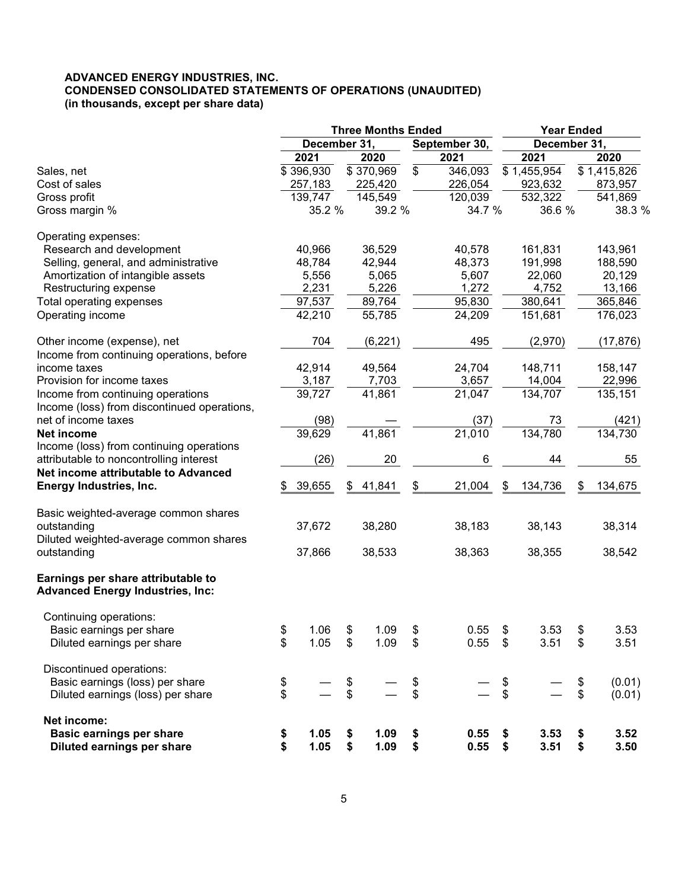# ADVANCED ENERGY INDUSTRIES, INC. CONDENSED CONSOLIDATED STATEMENTS OF OPERATIONS (UNAUDITED) (in thousands, except per share data)

|                                                                                  |          |                               |          | <b>Three Months Ended</b> |          |                     | <b>Year Ended</b> |             |    |                         |
|----------------------------------------------------------------------------------|----------|-------------------------------|----------|---------------------------|----------|---------------------|-------------------|-------------|----|-------------------------|
|                                                                                  |          | December 31,<br>September 30, |          |                           |          | December 31,        |                   |             |    |                         |
|                                                                                  |          | 2021                          |          | 2020                      |          | 2021                |                   | 2021        |    | 2020                    |
| Sales, net                                                                       |          | \$396,930                     |          | \$370,969                 | \$       | 346,093             |                   | \$1,455,954 |    | $\overline{$}1,415,826$ |
| Cost of sales                                                                    |          | 257,183                       |          | 225,420                   |          | 226,054             |                   | 923,632     |    | 873,957                 |
| Gross profit                                                                     |          | 139,747                       |          | 145,549                   |          | 120,039             |                   | 532,322     |    | 541,869                 |
| Gross margin %                                                                   |          | 35.2 %                        |          | 39.2 %                    |          | 34.7 %              |                   | 36.6 %      |    | 38.3 %                  |
| Operating expenses:                                                              |          |                               |          |                           |          |                     |                   |             |    |                         |
| Research and development                                                         |          | 40,966                        |          | 36,529                    |          | 40,578              |                   | 161,831     |    | 143,961                 |
| Selling, general, and administrative                                             |          | 48,784                        |          | 42,944                    |          | 48,373              |                   | 191,998     |    | 188,590                 |
| Amortization of intangible assets                                                |          | 5,556                         |          | 5,065                     |          | 5,607               |                   | 22,060      |    | 20,129                  |
| Restructuring expense                                                            |          | 2,231                         |          | 5,226                     |          | 1,272               |                   | 4,752       |    | 13,166                  |
| Total operating expenses                                                         |          | 97,537                        |          | 89,764                    |          | 95,830              |                   | 380,641     |    | 365,846                 |
| Operating income                                                                 |          | 42,210                        |          | 55,785                    |          | 24,209              |                   | 151,681     |    | 176,023                 |
| Other income (expense), net                                                      |          | 704                           |          | (6, 221)                  |          | 495                 |                   | (2,970)     |    | (17, 876)               |
| Income from continuing operations, before                                        |          |                               |          |                           |          |                     |                   |             |    |                         |
| income taxes                                                                     |          | 42,914                        |          | 49,564                    |          | 24,704              |                   | 148,711     |    | 158,147                 |
| Provision for income taxes                                                       |          | 3,187                         |          | 7,703                     |          | 3,657               |                   | 14,004      |    | 22,996                  |
| Income from continuing operations<br>Income (loss) from discontinued operations, |          | 39,727                        |          | 41,861                    |          | $\overline{21,047}$ |                   | 134,707     |    | 135,151                 |
| net of income taxes                                                              |          | (98)                          |          |                           |          | (37)                |                   | 73          |    | (421)                   |
| <b>Net income</b>                                                                |          | 39,629                        |          | 41,861                    |          | 21,010              |                   | 134,780     |    | 134,730                 |
|                                                                                  |          |                               |          |                           |          |                     |                   |             |    |                         |
| Income (loss) from continuing operations                                         |          |                               |          |                           |          |                     |                   |             |    |                         |
| attributable to noncontrolling interest                                          |          | (26)                          |          | 20                        |          | 6                   |                   | 44          |    | 55                      |
| Net income attributable to Advanced                                              |          |                               |          |                           |          |                     |                   |             |    |                         |
| Energy Industries, Inc.                                                          | \$       | 39,655                        | \$       | 41,841                    | \$       | 21,004              | S                 | 134,736     | \$ | 134,675                 |
| Basic weighted-average common shares                                             |          |                               |          |                           |          |                     |                   |             |    |                         |
| outstanding<br>Diluted weighted-average common shares                            |          | 37,672                        |          | 38,280                    |          | 38,183              |                   | 38,143      |    | 38,314                  |
| outstanding                                                                      |          | 37,866                        |          | 38,533                    |          | 38,363              |                   | 38,355      |    | 38,542                  |
| Earnings per share attributable to<br><b>Advanced Energy Industries, Inc:</b>    |          |                               |          |                           |          |                     |                   |             |    |                         |
| Continuing operations:                                                           |          |                               |          |                           |          |                     |                   |             |    |                         |
| Basic earnings per share                                                         | \$       | 1.06                          | \$       | 1.09                      | \$       | 0.55                | \$                | 3.53        | \$ | 3.53                    |
| Diluted earnings per share                                                       | \$       | 1.05                          | \$       | 1.09                      | \$       | 0.55                | \$                | 3.51        | \$ | 3.51                    |
| Discontinued operations:                                                         |          |                               |          |                           |          |                     |                   |             |    |                         |
| Basic earnings (loss) per share                                                  |          |                               |          |                           |          |                     | \$                |             | \$ | (0.01)                  |
| Diluted earnings (loss) per share                                                | \$<br>\$ |                               | \$<br>\$ |                           | \$<br>\$ |                     | \$                |             | \$ | (0.01)                  |
| Net income:                                                                      |          |                               |          |                           |          |                     |                   |             |    |                         |
| <b>Basic earnings per share</b>                                                  | \$       | 1.05                          | \$       | 1.09                      | \$       | 0.55                | \$                | 3.53        | \$ | 3.52                    |
| <b>Diluted earnings per share</b>                                                | \$       | 1.05                          | \$       | 1.09                      | \$       | 0.55                | \$                | 3.51        | \$ | 3.50                    |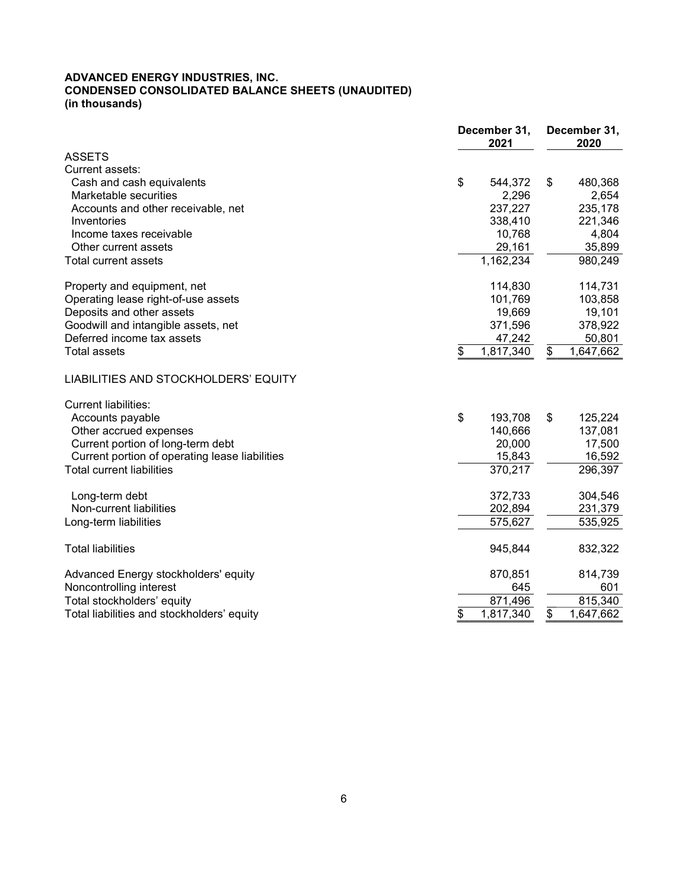#### ADVANCED ENERGY INDUSTRIES, INC. CONDENSED CONSOLIDATED BALANCE SHEETS (UNAUDITED) (in thousands)

|                                                | December 31,<br>2021 | December 31,<br>2020 |  |  |
|------------------------------------------------|----------------------|----------------------|--|--|
| <b>ASSETS</b>                                  |                      |                      |  |  |
| Current assets:                                |                      |                      |  |  |
| Cash and cash equivalents                      | \$<br>544,372        | \$<br>480,368        |  |  |
| Marketable securities                          | 2,296                | 2,654                |  |  |
| Accounts and other receivable, net             | 237,227              | 235,178              |  |  |
| Inventories                                    | 338,410              | 221,346              |  |  |
| Income taxes receivable                        | 10,768               | 4,804                |  |  |
| Other current assets                           | 29,161               | 35,899               |  |  |
| <b>Total current assets</b>                    | 1,162,234            | 980,249              |  |  |
| Property and equipment, net                    | 114,830              | 114,731              |  |  |
| Operating lease right-of-use assets            | 101,769              | 103,858              |  |  |
| Deposits and other assets                      | 19,669               | 19,101               |  |  |
| Goodwill and intangible assets, net            | 371,596              | 378,922              |  |  |
| Deferred income tax assets                     | 47,242               | 50,801               |  |  |
| <b>Total assets</b>                            | \$<br>1,817,340      | 1,647,662<br>\$      |  |  |
| LIABILITIES AND STOCKHOLDERS' EQUITY           |                      |                      |  |  |
| <b>Current liabilities:</b>                    |                      |                      |  |  |
| Accounts payable                               | \$<br>193,708        | \$<br>125,224        |  |  |
| Other accrued expenses                         | 140,666              | 137,081              |  |  |
| Current portion of long-term debt              | 20,000               | 17,500               |  |  |
| Current portion of operating lease liabilities | 15,843               | 16,592               |  |  |
| <b>Total current liabilities</b>               | 370,217              | 296,397              |  |  |
| Long-term debt                                 | 372,733              | 304,546              |  |  |
| Non-current liabilities                        | 202,894              | 231,379              |  |  |
| Long-term liabilities                          | 575,627              | 535,925              |  |  |
| <b>Total liabilities</b>                       | 945,844              | 832,322              |  |  |
| Advanced Energy stockholders' equity           | 870,851              | 814,739              |  |  |
| Noncontrolling interest                        | 645                  | 601                  |  |  |
| Total stockholders' equity                     | 871,496              | 815,340              |  |  |
| Total liabilities and stockholders' equity     | \$<br>1,817,340      | \$<br>1,647,662      |  |  |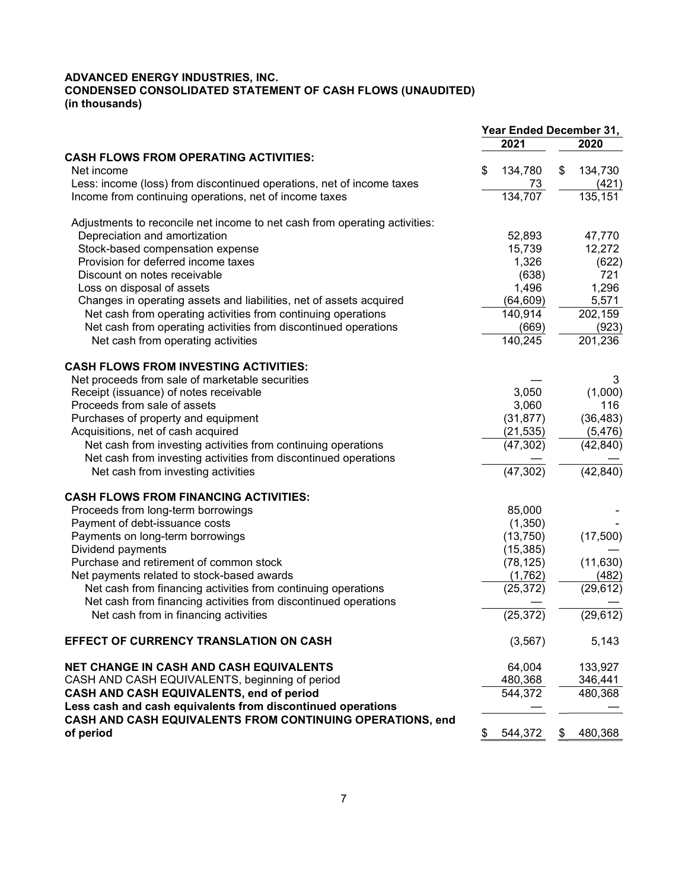#### ADVANCED ENERGY INDUSTRIES, INC. CONDENSED CONSOLIDATED STATEMENT OF CASH FLOWS (UNAUDITED) (in thousands)

|                                                                            | Year Ended December 31, |           |    |           |  |  |
|----------------------------------------------------------------------------|-------------------------|-----------|----|-----------|--|--|
|                                                                            |                         | 2021      |    | 2020      |  |  |
| <b>CASH FLOWS FROM OPERATING ACTIVITIES:</b>                               |                         |           |    |           |  |  |
| Net income                                                                 | \$                      | 134,780   | \$ | 134,730   |  |  |
| Less: income (loss) from discontinued operations, net of income taxes      |                         | 73        |    | (421)     |  |  |
| Income from continuing operations, net of income taxes                     |                         | 134,707   |    | 135,151   |  |  |
| Adjustments to reconcile net income to net cash from operating activities: |                         |           |    |           |  |  |
| Depreciation and amortization                                              |                         | 52,893    |    | 47,770    |  |  |
| Stock-based compensation expense                                           |                         | 15,739    |    | 12,272    |  |  |
| Provision for deferred income taxes                                        |                         | 1,326     |    | (622)     |  |  |
| Discount on notes receivable                                               |                         | (638)     |    | 721       |  |  |
| Loss on disposal of assets                                                 |                         | 1,496     |    | 1,296     |  |  |
| Changes in operating assets and liabilities, net of assets acquired        |                         | (64, 609) |    | 5,571     |  |  |
| Net cash from operating activities from continuing operations              |                         | 140,914   |    | 202,159   |  |  |
| Net cash from operating activities from discontinued operations            |                         | (669)     |    | (923)     |  |  |
| Net cash from operating activities                                         |                         | 140,245   |    | 201,236   |  |  |
| <b>CASH FLOWS FROM INVESTING ACTIVITIES:</b>                               |                         |           |    |           |  |  |
| Net proceeds from sale of marketable securities                            |                         |           |    | 3         |  |  |
| Receipt (issuance) of notes receivable                                     |                         | 3,050     |    | (1,000)   |  |  |
| Proceeds from sale of assets                                               |                         | 3,060     |    | 116       |  |  |
| Purchases of property and equipment                                        |                         | (31, 877) |    | (36, 483) |  |  |
| Acquisitions, net of cash acquired                                         |                         | (21, 535) |    | (5, 476)  |  |  |
| Net cash from investing activities from continuing operations              |                         | (47, 302) |    | (42, 840) |  |  |
| Net cash from investing activities from discontinued operations            |                         |           |    |           |  |  |
| Net cash from investing activities                                         |                         | (47, 302) |    | (42, 840) |  |  |
| <b>CASH FLOWS FROM FINANCING ACTIVITIES:</b>                               |                         |           |    |           |  |  |
| Proceeds from long-term borrowings                                         |                         | 85,000    |    |           |  |  |
| Payment of debt-issuance costs                                             |                         | (1,350)   |    |           |  |  |
| Payments on long-term borrowings                                           |                         | (13,750)  |    | (17,500)  |  |  |
| Dividend payments                                                          |                         | (15, 385) |    |           |  |  |
| Purchase and retirement of common stock                                    |                         | (78, 125) |    | (11, 630) |  |  |
| Net payments related to stock-based awards                                 |                         | (1,762)   |    | (482)     |  |  |
| Net cash from financing activities from continuing operations              |                         | (25, 372) |    | (29, 612) |  |  |
| Net cash from financing activities from discontinued operations            |                         |           |    |           |  |  |
| Net cash from in financing activities                                      |                         | (25, 372) |    | (29, 612) |  |  |
| EFFECT OF CURRENCY TRANSLATION ON CASH                                     |                         | (3, 567)  |    | 5,143     |  |  |
| <b>NET CHANGE IN CASH AND CASH EQUIVALENTS</b>                             |                         | 64,004    |    | 133,927   |  |  |
| CASH AND CASH EQUIVALENTS, beginning of period                             |                         | 480,368   |    | 346,441   |  |  |
| CASH AND CASH EQUIVALENTS, end of period                                   |                         | 544,372   |    | 480,368   |  |  |
| Less cash and cash equivalents from discontinued operations                |                         |           |    |           |  |  |
| CASH AND CASH EQUIVALENTS FROM CONTINUING OPERATIONS, end                  |                         |           |    |           |  |  |
| of period                                                                  | \$                      | 544,372   | \$ | 480,368   |  |  |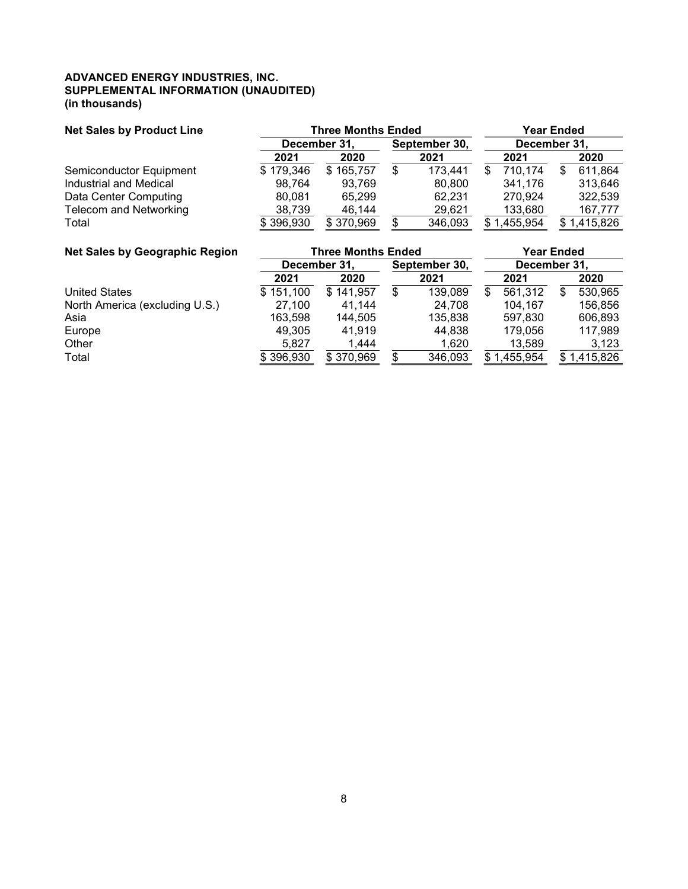#### ADVANCED ENERGY INDUSTRIES, INC. SUPPLEMENTAL INFORMATION (UNAUDITED) (in thousands)

| <b>Net Sales by Product Line</b> | <b>Three Months Ended</b> |                                               |     |         |    |          | <b>Year Ended</b> |           |  |  |
|----------------------------------|---------------------------|-----------------------------------------------|-----|---------|----|----------|-------------------|-----------|--|--|
|                                  |                           | December 31.<br>September 30,<br>December 31, |     |         |    |          |                   |           |  |  |
|                                  | 2021                      | 2020                                          |     | 2021    |    | 2021     |                   | 2020      |  |  |
| Semiconductor Equipment          | \$179,346                 | 165,757<br>\$.                                | \$  | 173,441 | \$ | 710,174  |                   | 611,864   |  |  |
| Industrial and Medical           | 98.764                    | 93.769                                        |     | 80.800  |    | 341.176  |                   | 313,646   |  |  |
| Data Center Computing            | 80.081                    | 65.299                                        |     | 62.231  |    | 270.924  |                   | 322,539   |  |  |
| <b>Telecom and Networking</b>    | 38,739                    | 46,144                                        |     | 29.621  |    | 133,680  |                   | 167,777   |  |  |
| Total                            | \$396,930                 | \$370,969                                     | \$. | 346,093 | S  | .455,954 |                   | 1,415,826 |  |  |

| <b>Net Sales by Geographic Region</b> |           | <b>Three Months Ended</b> |                               | <b>Year Ended</b> |          |  |          |  |
|---------------------------------------|-----------|---------------------------|-------------------------------|-------------------|----------|--|----------|--|
|                                       |           | December 31,              | September 30,<br>December 31, |                   |          |  |          |  |
|                                       | 2021      | 2020                      | 2021                          |                   | 2021     |  | 2020     |  |
| <b>United States</b>                  | \$151,100 | 141,957<br>\$.            | \$<br>139,089                 |                   | 561,312  |  | 530,965  |  |
| North America (excluding U.S.)        | 27.100    | 41.144                    | 24.708                        |                   | 104.167  |  | 156,856  |  |
| Asia                                  | 163,598   | 144.505                   | 135,838                       |                   | 597.830  |  | 606,893  |  |
| Europe                                | 49,305    | 41.919                    | 44.838                        |                   | 179.056  |  | 117,989  |  |
| Other                                 | 5.827     | 1.444                     | 1,620                         |                   | 13.589   |  | 3,123    |  |
| Total                                 | \$396,930 | \$370,969                 | \$<br>346,093                 |                   | ,455,954 |  | ,415,826 |  |
|                                       |           |                           |                               |                   |          |  |          |  |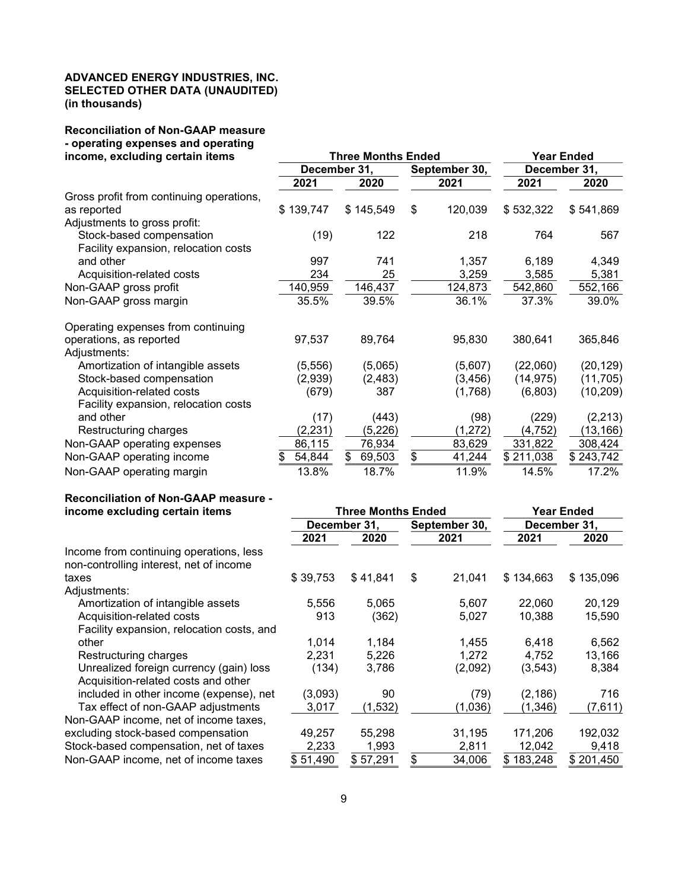#### ADVANCED ENERGY INDUSTRIES, INC. SELECTED OTHER DATA (UNAUDITED) (in thousands)

# Reconciliation of Non-GAAP measure - operating expenses and operating

| income, excluding certain items          |              | <b>Three Months Ended</b> | <b>Year Ended</b> |               |              |           |  |
|------------------------------------------|--------------|---------------------------|-------------------|---------------|--------------|-----------|--|
|                                          | December 31, |                           |                   | September 30, | December 31, |           |  |
|                                          | 2021         | 2020                      |                   | 2021          | 2021         | 2020      |  |
| Gross profit from continuing operations, |              |                           |                   |               |              |           |  |
| as reported                              | \$139,747    | \$145,549                 | \$                | 120,039       | \$532,322    | \$541,869 |  |
| Adjustments to gross profit:             |              |                           |                   |               |              |           |  |
| Stock-based compensation                 | (19)         | 122                       |                   | 218           | 764          | 567       |  |
| Facility expansion, relocation costs     |              |                           |                   |               |              |           |  |
| and other                                | 997          | 741                       |                   | 1,357         | 6,189        | 4,349     |  |
| Acquisition-related costs                | 234          | 25                        |                   | 3,259         | 3,585        | 5,381     |  |
| Non-GAAP gross profit                    | 140,959      | 146,437                   |                   | 124,873       | 542,860      | 552,166   |  |
| Non-GAAP gross margin                    | 35.5%        | 39.5%                     |                   | 36.1%         | 37.3%        | 39.0%     |  |
| Operating expenses from continuing       |              |                           |                   |               |              |           |  |
| operations, as reported                  | 97,537       | 89,764                    |                   | 95,830        | 380,641      | 365,846   |  |
| Adjustments:                             |              |                           |                   |               |              |           |  |
| Amortization of intangible assets        | (5, 556)     | (5,065)                   |                   | (5,607)       | (22,060)     | (20, 129) |  |
| Stock-based compensation                 | (2,939)      | (2, 483)                  |                   | (3, 456)      | (14, 975)    | (11, 705) |  |
| Acquisition-related costs                | (679)        | 387                       |                   | (1,768)       | (6,803)      | (10, 209) |  |
| Facility expansion, relocation costs     |              |                           |                   |               |              |           |  |
| and other                                | (17)         | (443)                     |                   | (98)          | (229)        | (2, 213)  |  |
| Restructuring charges                    | (2, 231)     | (5,226)                   |                   | (1, 272)      | (4, 752)     | (13, 166) |  |
| Non-GAAP operating expenses              | 86,115       | 76,934                    |                   | 83,629        | 331,822      | 308,424   |  |
| Non-GAAP operating income                | 54,844<br>\$ | \$<br>69,503              | \$                | 41,244        | \$211,038    | \$243,742 |  |
| Non-GAAP operating margin                | 13.8%        | 18.7%                     |                   | 11.9%         | 14.5%        | 17.2%     |  |

# Reconciliation of Non-GAAP measure -<br>income excluding certain items

| income excluding certain items            |              | <b>Three Months Ended</b> | <b>Year Ended</b> |              |           |  |  |
|-------------------------------------------|--------------|---------------------------|-------------------|--------------|-----------|--|--|
|                                           | December 31, |                           | September 30,     | December 31, |           |  |  |
|                                           | 2020<br>2021 |                           | 2021              | 2021         | 2020      |  |  |
| Income from continuing operations, less   |              |                           |                   |              |           |  |  |
| non-controlling interest, net of income   |              |                           |                   |              |           |  |  |
| taxes                                     | \$39,753     | \$41,841                  | \$<br>21,041      | \$134,663    | \$135,096 |  |  |
| Adjustments:                              |              |                           |                   |              |           |  |  |
| Amortization of intangible assets         | 5,556        | 5,065                     | 5,607             | 22,060       | 20,129    |  |  |
| Acquisition-related costs                 | 913          | (362)                     | 5,027             | 10,388       | 15,590    |  |  |
| Facility expansion, relocation costs, and |              |                           |                   |              |           |  |  |
| other                                     | 1.014        | 1,184                     | 1,455             | 6.418        | 6,562     |  |  |
| Restructuring charges                     | 2,231        | 5,226                     | 1,272             | 4,752        | 13,166    |  |  |
| Unrealized foreign currency (gain) loss   | (134)        | 3,786                     | (2,092)           | (3, 543)     | 8,384     |  |  |
| Acquisition-related costs and other       |              |                           |                   |              |           |  |  |
| included in other income (expense), net   | (3,093)      | 90                        | (79)              | (2, 186)     | 716       |  |  |
| Tax effect of non-GAAP adjustments        | 3,017        | (1,532)                   | (1,036)           | (1, 346)     | (7,611)   |  |  |
| Non-GAAP income, net of income taxes,     |              |                           |                   |              |           |  |  |
| excluding stock-based compensation        | 49,257       | 55,298                    | 31,195            | 171,206      | 192,032   |  |  |
| Stock-based compensation, net of taxes    | 2,233        | 1,993                     | 2,811             | 12,042       | 9,418     |  |  |
| Non-GAAP income, net of income taxes      | \$51,490     | \$57,291                  | \$<br>34,006      | \$183,248    | \$201,450 |  |  |
|                                           |              |                           |                   |              |           |  |  |